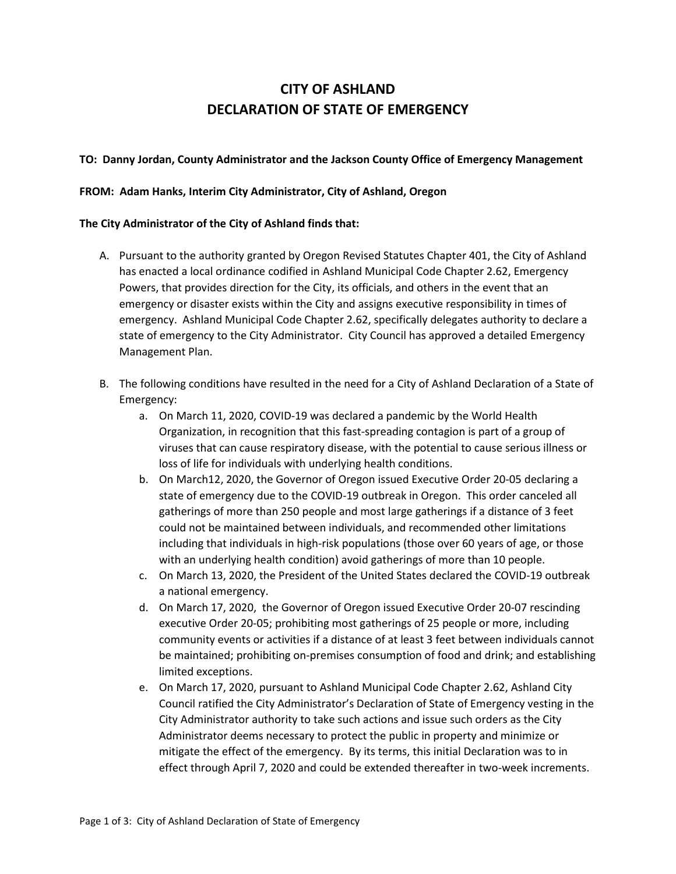# **CITY OF ASHLAND DECLARATION OF STATE OF EMERGENCY**

### **TO: Danny Jordan, County Administrator and the Jackson County Office of Emergency Management**

#### **FROM: Adam Hanks, Interim City Administrator, City of Ashland, Oregon**

#### **The City Administrator of the City of Ashland finds that:**

- A. Pursuant to the authority granted by Oregon Revised Statutes Chapter 401, the City of Ashland has enacted a local ordinance codified in Ashland Municipal Code Chapter 2.62, Emergency Powers, that provides direction for the City, its officials, and others in the event that an emergency or disaster exists within the City and assigns executive responsibility in times of emergency. Ashland Municipal Code Chapter 2.62, specifically delegates authority to declare a state of emergency to the City Administrator. City Council has approved a detailed Emergency Management Plan.
- B. The following conditions have resulted in the need for a City of Ashland Declaration of a State of Emergency:
	- a. On March 11, 2020, COVID-19 was declared a pandemic by the World Health Organization, in recognition that this fast-spreading contagion is part of a group of viruses that can cause respiratory disease, with the potential to cause serious illness or loss of life for individuals with underlying health conditions.
	- b. On March12, 2020, the Governor of Oregon issued Executive Order 20-05 declaring a state of emergency due to the COVID-19 outbreak in Oregon. This order canceled all gatherings of more than 250 people and most large gatherings if a distance of 3 feet could not be maintained between individuals, and recommended other limitations including that individuals in high-risk populations (those over 60 years of age, or those with an underlying health condition) avoid gatherings of more than 10 people.
	- c. On March 13, 2020, the President of the United States declared the COVID-19 outbreak a national emergency.
	- d. On March 17, 2020, the Governor of Oregon issued Executive Order 20-07 rescinding executive Order 20-05; prohibiting most gatherings of 25 people or more, including community events or activities if a distance of at least 3 feet between individuals cannot be maintained; prohibiting on-premises consumption of food and drink; and establishing limited exceptions.
	- e. On March 17, 2020, pursuant to Ashland Municipal Code Chapter 2.62, Ashland City Council ratified the City Administrator's Declaration of State of Emergency vesting in the City Administrator authority to take such actions and issue such orders as the City Administrator deems necessary to protect the public in property and minimize or mitigate the effect of the emergency. By its terms, this initial Declaration was to in effect through April 7, 2020 and could be extended thereafter in two-week increments.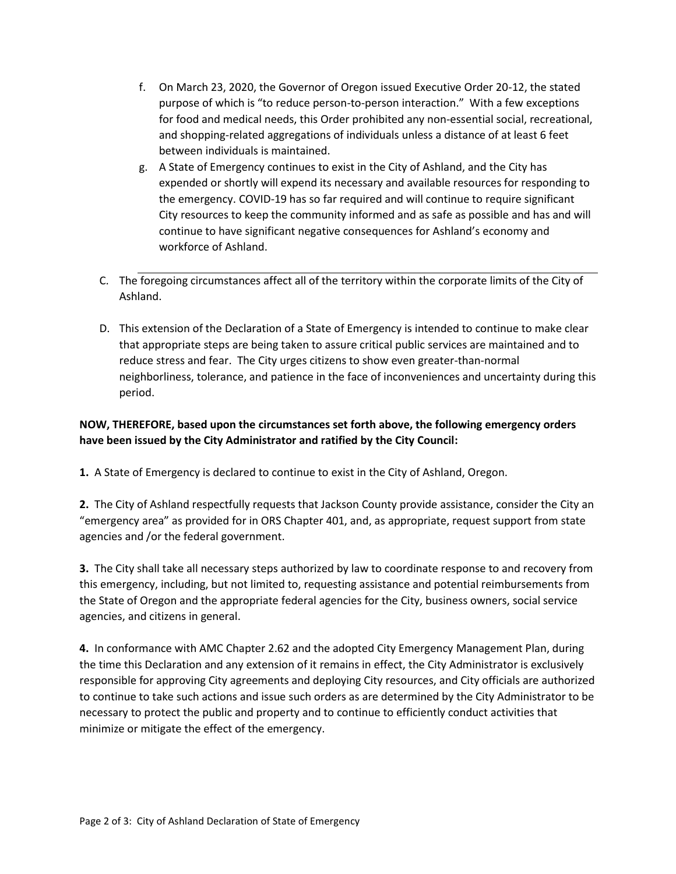- f. On March 23, 2020, the Governor of Oregon issued Executive Order 20-12, the stated purpose of which is "to reduce person-to-person interaction." With a few exceptions for food and medical needs, this Order prohibited any non-essential social, recreational, and shopping-related aggregations of individuals unless a distance of at least 6 feet between individuals is maintained.
- g. A State of Emergency continues to exist in the City of Ashland, and the City has expended or shortly will expend its necessary and available resources for responding to the emergency. COVID-19 has so far required and will continue to require significant City resources to keep the community informed and as safe as possible and has and will continue to have significant negative consequences for Ashland's economy and workforce of Ashland.
- C. The foregoing circumstances affect all of the territory within the corporate limits of the City of Ashland.
- D. This extension of the Declaration of a State of Emergency is intended to continue to make clear that appropriate steps are being taken to assure critical public services are maintained and to reduce stress and fear. The City urges citizens to show even greater-than-normal neighborliness, tolerance, and patience in the face of inconveniences and uncertainty during this period.

## **NOW, THEREFORE, based upon the circumstances set forth above, the following emergency orders have been issued by the City Administrator and ratified by the City Council:**

**1.** A State of Emergency is declared to continue to exist in the City of Ashland, Oregon.

**2.** The City of Ashland respectfully requests that Jackson County provide assistance, consider the City an "emergency area" as provided for in ORS Chapter 401, and, as appropriate, request support from state agencies and /or the federal government.

**3.** The City shall take all necessary steps authorized by law to coordinate response to and recovery from this emergency, including, but not limited to, requesting assistance and potential reimbursements from the State of Oregon and the appropriate federal agencies for the City, business owners, social service agencies, and citizens in general.

**4.** In conformance with AMC Chapter 2.62 and the adopted City Emergency Management Plan, during the time this Declaration and any extension of it remains in effect, the City Administrator is exclusively responsible for approving City agreements and deploying City resources, and City officials are authorized to continue to take such actions and issue such orders as are determined by the City Administrator to be necessary to protect the public and property and to continue to efficiently conduct activities that minimize or mitigate the effect of the emergency.